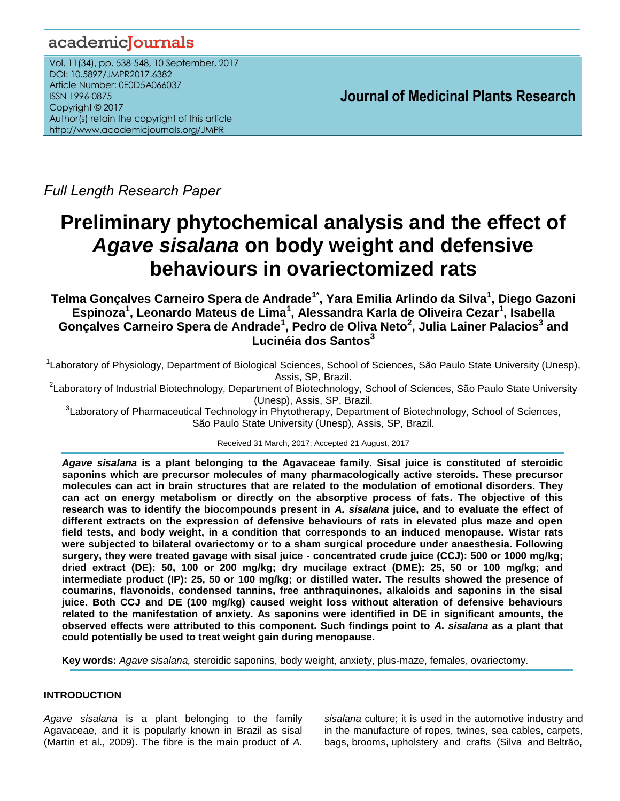# academicJournals

Vol. 11(34), pp. 538-548, 10 September, 2017 DOI: 10.5897/JMPR2017.6382 Article Number: 0E0D5A066037 ISSN 1996-0875 Copyright © 2017 Author(s) retain the copyright of this article http://www.academicjournals.org/JMPR

 **Journal of Medicinal Plants Research**

*Full Length Research Paper*

# **Preliminary phytochemical analysis and the effect of**  *Agave sisalana* **on body weight and defensive behaviours in ovariectomized rats**

**Telma Gonçalves Carneiro Spera de Andrade1\* , Yara Emilia Arlindo da Silva<sup>1</sup> , Diego Gazoni Espinoza<sup>1</sup> , Leonardo Mateus de Lima<sup>1</sup> , Alessandra Karla de Oliveira Cezar<sup>1</sup> , Isabella Gonçalves Carneiro Spera de Andrade<sup>1</sup> , Pedro de Oliva Neto<sup>2</sup> , Julia Lainer Palacios<sup>3</sup> and Lucinéia dos Santos<sup>3</sup>**

<sup>1</sup> Laboratory of Physiology, Department of Biological Sciences, School of Sciences, São Paulo State University (Unesp), Assis, SP, Brazil.

<sup>2</sup>Laboratory of Industrial Biotechnology, Department of Biotechnology, School of Sciences, São Paulo State University (Unesp), Assis, SP, Brazil.

<sup>3</sup> Laboratory of Pharmaceutical Technology in Phytotherapy, Department of Biotechnology, School of Sciences, São Paulo State University (Unesp), Assis, SP, Brazil.

Received 31 March, 2017; Accepted 21 August, 2017

*Agave sisalana* **is a plant belonging to the Agavaceae family. Sisal juice is constituted of steroidic saponins which are precursor molecules of many pharmacologically active steroids. These precursor molecules can act in brain structures that are related to the modulation of emotional disorders. They can act on energy metabolism or directly on the absorptive process of fats. The objective of this research was to identify the biocompounds present in** *A. sisalana* **juice, and to evaluate the effect of different extracts on the expression of defensive behaviours of rats in elevated plus maze and open field tests, and body weight, in a condition that corresponds to an induced menopause. Wistar rats were subjected to bilateral ovariectomy or to a sham surgical procedure under anaesthesia. Following surgery, they were treated gavage with sisal juice - concentrated crude juice (CCJ): 500 or 1000 mg/kg; dried extract (DE): 50, 100 or 200 mg/kg; dry mucilage extract (DME): 25, 50 or 100 mg/kg; and intermediate product (IP): 25, 50 or 100 mg/kg; or distilled water. The results showed the presence of coumarins, flavonoids, condensed tannins, free anthraquinones, alkaloids and saponins in the sisal juice. Both CCJ and DE (100 mg/kg) caused weight loss without alteration of defensive behaviours related to the manifestation of anxiety. As saponins were identified in DE in significant amounts, the observed effects were attributed to this component. Such findings point to** *A. sisalana* **as a plant that could potentially be used to treat weight gain during menopause.**

**Key words:** *Agave sisalana,* steroidic saponins, body weight, anxiety, plus-maze, females, ovariectomy.

# **INTRODUCTION**

*Agave sisalana* is a plant belonging to the family Agavaceae, and it is popularly known in Brazil as sisal (Martin et al., 2009). The fibre is the main product of *A.*

*sisalana* culture; it is used in the automotive industry and in the manufacture of ropes, twines, sea cables, carpets, bags, brooms, upholstery and crafts (Silva and Beltrão,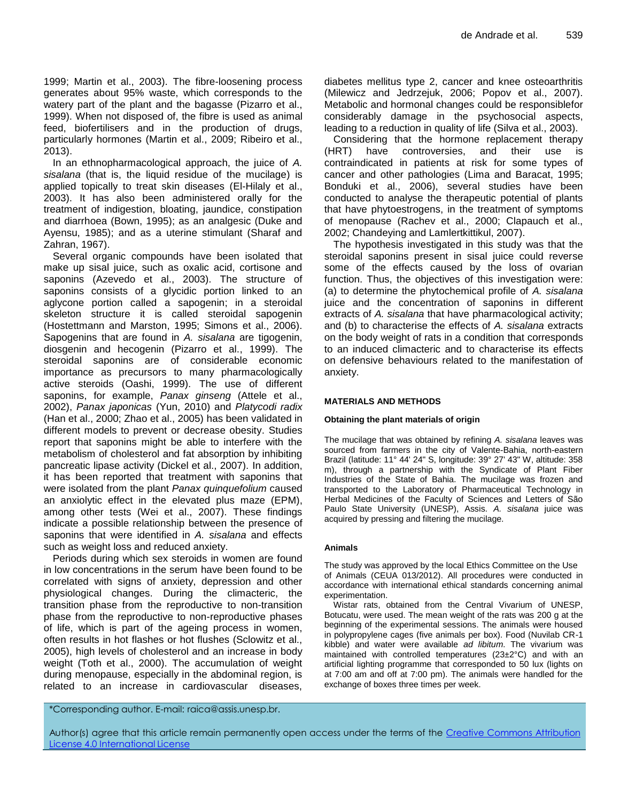1999; Martin et al., 2003). The fibre-loosening process generates about 95% waste, which corresponds to the watery part of the plant and the bagasse (Pizarro et al., 1999). When not disposed of, the fibre is used as animal feed, biofertilisers and in the production of drugs, particularly hormones (Martin et al., 2009; Ribeiro et al., 2013).

In an ethnopharmacological approach, the juice of *A. sisalana* (that is, the liquid residue of the mucilage) is applied topically to treat skin diseases (El-Hilaly et al., 2003). It has also been administered orally for the treatment of indigestion, bloating, jaundice, constipation and diarrhoea (Bown, 1995); as an analgesic (Duke and Ayensu, 1985); and as a uterine stimulant (Sharaf and Zahran, 1967).

Several organic compounds have been isolated that make up sisal juice, such as oxalic acid, cortisone and saponins (Azevedo et al., 2003). The structure of saponins consists of a glycidic portion linked to an aglycone portion called a sapogenin; in a steroidal skeleton structure it is called steroidal sapogenin (Hostettmann and Marston, 1995; Simons et al., 2006). Sapogenins that are found in *A. sisalana* are tigogenin, diosgenin and hecogenin (Pizarro et al., 1999). The steroidal saponins are of considerable economic importance as precursors to many pharmacologically active steroids (Oashi, 1999). The use of different saponins, for example, *Panax ginseng* (Attele et al., 2002), *Panax japonicas* (Yun, 2010) and *Platycodi radix* (Han et al., 2000; Zhao et al., 2005) has been validated in different models to prevent or decrease obesity. Studies report that saponins might be able to interfere with the metabolism of cholesterol and fat absorption by inhibiting pancreatic lipase activity (Dickel et al., 2007). In addition, it has been reported that treatment with saponins that were isolated from the plant *Panax quinquefolium* caused an anxiolytic effect in the elevated plus maze (EPM), among other tests (Wei et al., 2007). These findings indicate a possible relationship between the presence of saponins that were identified in *A. sisalana* and effects such as weight loss and reduced anxiety.

Periods during which sex steroids in women are found in low concentrations in the serum have been found to be correlated with signs of anxiety, depression and other physiological changes. During the climacteric, the transition phase from the reproductive to non-transition phase from the reproductive to non-reproductive phases of life, which is part of the ageing process in women, often results in hot flashes or hot flushes (Sclowitz et al., 2005), high levels of cholesterol and an increase in body weight (Toth et al., 2000). The accumulation of weight during menopause, especially in the abdominal region, is related to an increase in cardiovascular diseases, diabetes mellitus type 2, cancer and knee osteoarthritis (Milewicz and Jedrzejuk, 2006; Popov et al., 2007). Metabolic and hormonal changes could be responsiblefor considerably damage in the psychosocial aspects, leading to a reduction in quality of life (Silva et al., 2003).

Considering that the hormone replacement therapy (HRT) have controversies, and their use is contraindicated in patients at risk for some types of cancer and other pathologies (Lima and Baracat, 1995; Bonduki et al., 2006), several studies have been conducted to analyse the therapeutic potential of plants that have phytoestrogens, in the treatment of symptoms of menopause (Rachev et al., 2000; Clapauch et al., 2002; Chandeying and Lamlertkittikul, 2007).

The hypothesis investigated in this study was that the steroidal saponins present in sisal juice could reverse some of the effects caused by the loss of ovarian function. Thus, the objectives of this investigation were: (a) to determine the phytochemical profile of *A. sisalana* juice and the concentration of saponins in different extracts of *A. sisalana* that have pharmacological activity; and (b) to characterise the effects of *A. sisalana* extracts on the body weight of rats in a condition that corresponds to an induced climacteric and to characterise its effects on defensive behaviours related to the manifestation of anxiety.

### **MATERIALS AND METHODS**

#### **Obtaining the plant materials of origin**

The mucilage that was obtained by refining *A. sisalana* leaves was sourced from farmers in the city of Valente-Bahia, north-eastern Brazil (latitude: 11° 44' 24" S, longitude: 39° 27' 43" W, altitude: 358 m), through a partnership with the Syndicate of Plant Fiber Industries of the State of Bahia. The mucilage was frozen and transported to the Laboratory of Pharmaceutical Technology in Herbal Medicines of the Faculty of Sciences and Letters of São Paulo State University (UNESP), Assis. *A. sisalana* juice was acquired by pressing and filtering the mucilage.

#### **Animals**

The study was approved by the local Ethics Committee on the Use of Animals (CEUA 013/2012). All procedures were conducted in accordance with international ethical standards concerning animal experimentation.

Wistar rats, obtained from the Central Vivarium of UNESP, Botucatu, were used. The mean weight of the rats was 200 g at the beginning of the experimental sessions. The animals were housed in polypropylene cages (five animals per box). Food (Nuvilab CR-1 kibble) and water were available *ad libitum*. The vivarium was maintained with controlled temperatures (23±2°C) and with an artificial lighting programme that corresponded to 50 lux (lights on at 7:00 am and off at 7:00 pm). The animals were handled for the exchange of boxes three times per week.

\*Corresponding author. E-mail: raica@assis.unesp.br.

Author(s) agree that this article remain permanently open access under the terms of the Creative Commons Attribution License 4.0 [International](http://creativecommons.org/licenses/by/4.0/deed.en_US) License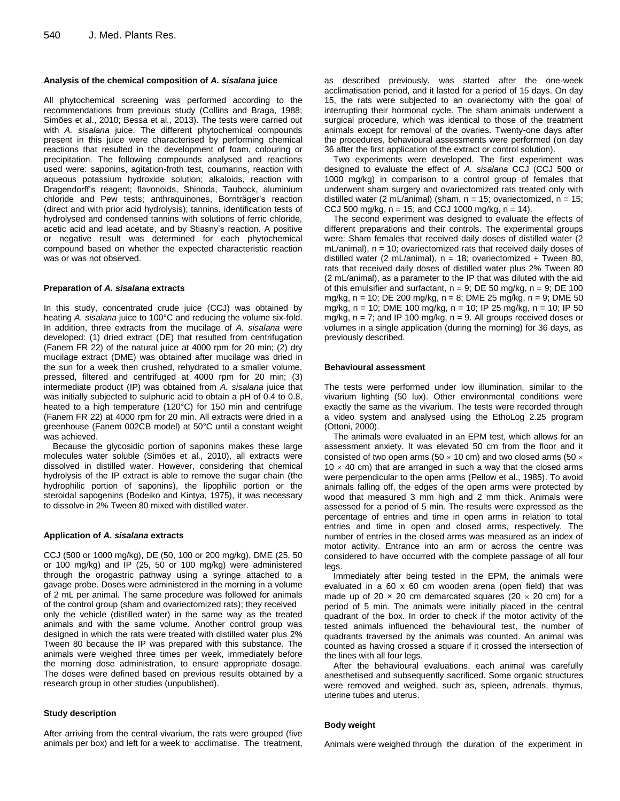#### **Analysis of the chemical composition of** *A. sisalana* **juice**

All phytochemical screening was performed according to the recommendations from previous study (Collins and Braga, 1988; Simões et al., 2010; Bessa et al., 2013). The tests were carried out with *A. sisalana* juice. The different phytochemical compounds present in this juice were characterised by performing chemical reactions that resulted in the development of foam, colouring or precipitation. The following compounds analysed and reactions used were: saponins, agitation-froth test, coumarins, reaction with aqueous potassium hydroxide solution; alkaloids, reaction with Dragendorff's reagent; flavonoids, Shinoda, Taubock, aluminium chloride and Pew tests; anthraquinones, Bornträger's reaction (direct and with prior acid hydrolysis); tannins, identification tests of hydrolysed and condensed tannins with solutions of ferric chloride, acetic acid and lead acetate, and by Stiasny's reaction. A positive or negative result was determined for each phytochemical compound based on whether the expected characteristic reaction was or was not observed.

#### **Preparation of** *A. sisalana* **extracts**

In this study, concentrated crude juice (CCJ) was obtained by heating *A. sisalana* juice to 100°C and reducing the volume six-fold. In addition, three extracts from the mucilage of *A. sisalana* were developed: (1) dried extract (DE) that resulted from centrifugation (Fanem FR 22) of the natural juice at 4000 rpm for 20 min; (2) dry mucilage extract (DME) was obtained after mucilage was dried in the sun for a week then crushed, rehydrated to a smaller volume, pressed, filtered and centrifuged at 4000 rpm for 20 min; (3) intermediate product (IP) was obtained from *A. sisalana* juice that was initially subjected to sulphuric acid to obtain a pH of 0.4 to 0.8, heated to a high temperature (120°C) for 150 min and centrifuge (Fanem FR 22) at 4000 rpm for 20 min. All extracts were dried in a greenhouse (Fanem 002CB model) at 50°C until a constant weight was achieved.

Because the glycosidic portion of saponins makes these large molecules water soluble (Simões et al., 2010), all extracts were dissolved in distilled water. However, considering that chemical hydrolysis of the IP extract is able to remove the sugar chain (the hydrophilic portion of saponins), the lipophilic portion or the steroidal sapogenins (Bodeiko and Kintya, 1975), it was necessary to dissolve in 2% Tween 80 mixed with distilled water.

#### **Application of** *A. sisalana* **extracts**

CCJ (500 or 1000 mg/kg), DE (50, 100 or 200 mg/kg), DME (25, 50 or 100 mg/kg) and IP (25, 50 or 100 mg/kg) were administered through the orogastric pathway using a syringe attached to a gavage probe. Doses were administered in the morning in a volume of 2 mL per animal. The same procedure was followed for animals of the control group (sham and ovariectomized rats); they received only the vehicle (distilled water) in the same way as the treated animals and with the same volume. Another control group was designed in which the rats were treated with distilled water plus 2% Tween 80 because the IP was prepared with this substance. The animals were weighed three times per week, immediately before the morning dose administration, to ensure appropriate dosage. The doses were defined based on previous results obtained by a research group in other studies (unpublished).

#### **Study description**

After arriving from the central vivarium, the rats were grouped (five animals per box) and left for a week to acclimatise. The treatment, as described previously, was started after the one-week acclimatisation period, and it lasted for a period of 15 days. On day 15, the rats were subjected to an ovariectomy with the goal of interrupting their hormonal cycle. The sham animals underwent a surgical procedure, which was identical to those of the treatment animals except for removal of the ovaries. Twenty-one days after the procedures, behavioural assessments were performed (on day 36 after the first application of the extract or control solution).

Two experiments were developed. The first experiment was designed to evaluate the effect of *A. sisalana* CCJ (CCJ 500 or 1000 mg/kg) in comparison to a control group of females that underwent sham surgery and ovariectomized rats treated only with distilled water (2 mL/animal) (sham,  $n = 15$ ; ovariectomized,  $n = 15$ ; CCJ 500 mg/kg,  $n = 15$ ; and CCJ 1000 mg/kg,  $n = 14$ ).

The second experiment was designed to evaluate the effects of different preparations and their controls. The experimental groups were: Sham females that received daily doses of distilled water (2  $mL/animal$ ,  $n = 10$ ; ovariectomized rats that received daily doses of distilled water (2 mL/animal),  $n = 18$ ; ovariectomized + Tween 80, rats that received daily doses of distilled water plus 2% Tween 80 (2 mL/animal), as a parameter to the IP that was diluted with the aid of this emulsifier and surfactant,  $n = 9$ ; DE 50 mg/kg,  $n = 9$ ; DE 100 mg/kg, n = 10; DE 200 mg/kg, n = 8; DME 25 mg/kg, n = 9; DME 50 mg/kg, n = 10; DME 100 mg/kg, n = 10; IP 25 mg/kg, n = 10; IP 50 mg/kg,  $n = 7$ ; and IP 100 mg/kg,  $n = 9$ . All groups received doses or volumes in a single application (during the morning) for 36 days, as previously described.

#### **Behavioural assessment**

The tests were performed under low illumination, similar to the vivarium lighting (50 lux). Other environmental conditions were exactly the same as the vivarium. The tests were recorded through a video system and analysed using the EthoLog 2.25 program (Ottoni, 2000).

The animals were evaluated in an EPM test, which allows for an assessment anxiety. It was elevated 50 cm from the floor and it consisted of two open arms (50  $\times$  10 cm) and two closed arms (50  $\times$  $10 \times 40$  cm) that are arranged in such a way that the closed arms were perpendicular to the open arms (Pellow et al., 1985). To avoid animals falling off, the edges of the open arms were protected by wood that measured 3 mm high and 2 mm thick. Animals were assessed for a period of 5 min. The results were expressed as the percentage of entries and time in open arms in relation to total entries and time in open and closed arms, respectively. The number of entries in the closed arms was measured as an index of motor activity. Entrance into an arm or across the centre was considered to have occurred with the complete passage of all four legs.

Immediately after being tested in the EPM, the animals were evaluated in a 60 x 60 cm wooden arena (open field) that was made up of 20  $\times$  20 cm demarcated squares (20  $\times$  20 cm) for a period of 5 min. The animals were initially placed in the central quadrant of the box. In order to check if the motor activity of the tested animals influenced the behavioural test, the number of quadrants traversed by the animals was counted. An animal was counted as having crossed a square if it crossed the intersection of the lines with all four legs.

After the behavioural evaluations, each animal was carefully anesthetised and subsequently sacrificed. Some organic structures were removed and weighed, such as, spleen, adrenals, thymus, uterine tubes and uterus.

#### **Body weight**

Animals were weighed through the duration of the experiment in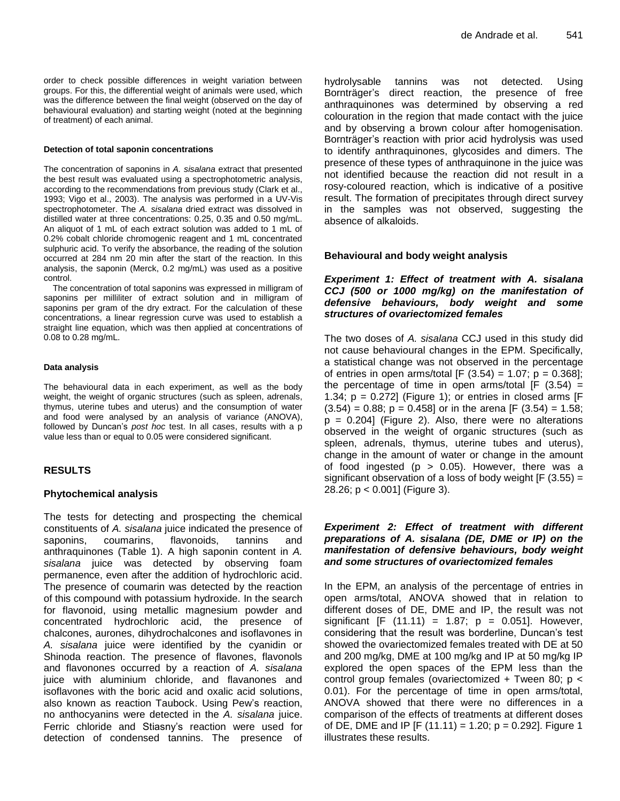order to check possible differences in weight variation between groups. For this, the differential weight of animals were used, which was the difference between the final weight (observed on the day of behavioural evaluation) and starting weight (noted at the beginning of treatment) of each animal.

#### **Detection of total saponin concentrations**

The concentration of saponins in *A. sisalana* extract that presented the best result was evaluated using a spectrophotometric analysis, according to the recommendations from previous study (Clark et al., 1993; Vigo et al., 2003). The analysis was performed in a UV-Vis spectrophotometer. The *A. sisalana* dried extract was dissolved in distilled water at three concentrations: 0.25, 0.35 and 0.50 mg/mL. An aliquot of 1 mL of each extract solution was added to 1 mL of 0.2% cobalt chloride chromogenic reagent and 1 mL concentrated sulphuric acid. To verify the absorbance, the reading of the solution occurred at 284 nm 20 min after the start of the reaction. In this analysis, the saponin (Merck, 0.2 mg/mL) was used as a positive control.

The concentration of total saponins was expressed in milligram of saponins per milliliter of extract solution and in milligram of saponins per gram of the dry extract. For the calculation of these concentrations, a linear regression curve was used to establish a straight line equation, which was then applied at concentrations of 0.08 to 0.28 mg/mL.

#### **Data analysis**

The behavioural data in each experiment, as well as the body weight, the weight of organic structures (such as spleen, adrenals, thymus, uterine tubes and uterus) and the consumption of water and food were analysed by an analysis of variance (ANOVA), followed by Duncan's *post hoc* test. In all cases, results with a p value less than or equal to 0.05 were considered significant.

# **RESULTS**

# **Phytochemical analysis**

The tests for detecting and prospecting the chemical constituents of *A. sisalana* juice indicated the presence of saponins, coumarins, flavonoids, tannins and anthraquinones (Table 1). A high saponin content in *A. sisalana* juice was detected by observing foam permanence, even after the addition of hydrochloric acid. The presence of coumarin was detected by the reaction of this compound with potassium hydroxide. In the search for flavonoid, using metallic magnesium powder and concentrated hydrochloric acid, the presence of chalcones, aurones, dihydrochalcones and isoflavones in *A. sisalana* juice were identified by the cyanidin or Shinoda reaction. The presence of flavones, flavonols and flavonones occurred by a reaction of *A. sisalana* juice with aluminium chloride, and flavanones and isoflavones with the boric acid and oxalic acid solutions, also known as reaction Taubock. Using Pew's reaction, no anthocyanins were detected in the *A. sisalana* juice. Ferric chloride and Stiasny's reaction were used for detection of condensed tannins. The presence of

hydrolysable tannins was not detected. Using Bornträger's direct reaction, the presence of free anthraquinones was determined by observing a red colouration in the region that made contact with the juice and by observing a brown colour after homogenisation. Bornträger's reaction with prior acid hydrolysis was used to identify anthraquinones, glycosides and dimers. The presence of these types of anthraquinone in the juice was not identified because the reaction did not result in a rosy-coloured reaction, which is indicative of a positive result. The formation of precipitates through direct survey in the samples was not observed, suggesting the absence of alkaloids.

# **Behavioural and body weight analysis**

*Experiment 1: Effect of treatment with A. sisalana CCJ (500 or 1000 mg/kg) on the manifestation of defensive behaviours, body weight and some structures of ovariectomized females*

The two doses of *A. sisalana* CCJ used in this study did not cause behavioural changes in the EPM. Specifically, a statistical change was not observed in the percentage of entries in open arms/total  $[F (3.54) = 1.07; p = 0.368]$ ; the percentage of time in open arms/total  $[F (3.54) =$ 1.34;  $p = 0.272$ ] (Figure 1); or entries in closed arms [F  $(3.54) = 0.88$ ; p = 0.458] or in the arena [F  $(3.54) = 1.58$ ;  $p = 0.204$ ] (Figure 2). Also, there were no alterations observed in the weight of organic structures (such as spleen, adrenals, thymus, uterine tubes and uterus), change in the amount of water or change in the amount of food ingested ( $p > 0.05$ ). However, there was a significant observation of a loss of body weight  $[F (3.55) =$ 28.26; p < 0.001] (Figure 3).

# *Experiment 2: Effect of treatment with different preparations of A. sisalana (DE, DME or IP) on the manifestation of defensive behaviours, body weight and some structures of ovariectomized females*

In the EPM, an analysis of the percentage of entries in open arms/total, ANOVA showed that in relation to different doses of DE, DME and IP, the result was not significant  $[F (11.11) = 1.87; p = 0.051]$ . However, considering that the result was borderline, Duncan's test showed the ovariectomized females treated with DE at 50 and 200 mg/kg, DME at 100 mg/kg and IP at 50 mg/kg IP explored the open spaces of the EPM less than the control group females (ovariectomized + Tween 80; p < 0.01). For the percentage of time in open arms/total, ANOVA showed that there were no differences in a comparison of the effects of treatments at different doses of DE, DME and IP [F (11.11) = 1.20;  $p = 0.292$ ]. Figure 1 illustrates these results.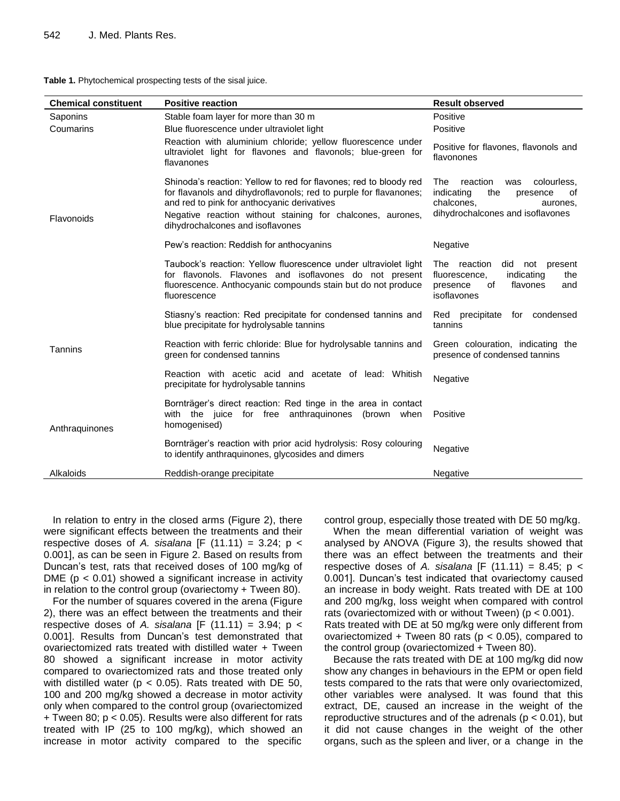#### **Table 1.** Phytochemical prospecting tests of the sisal juice.

| Saponins<br>Stable foam layer for more than 30 m<br>Positive<br>Coumarins<br>Blue fluorescence under ultraviolet light<br>Positive<br>Reaction with aluminium chloride; yellow fluorescence under<br>Positive for flavones, flavonols and<br>ultraviolet light for flavones and flavonols; blue-green for<br>flavonones<br>flavanones<br>Shinoda's reaction: Yellow to red for flavones; red to bloody red<br>The<br>reaction<br>colourless.<br>was<br>for flavanols and dihydroflavonols; red to purple for flavanones;<br>indicating<br>the<br>presence<br>ot<br>and red to pink for anthocyanic derivatives<br>chalcones,<br>aurones,<br>dihydrochalcones and isoflavones<br>Negative reaction without staining for chalcones, aurones,<br>Flavonoids<br>dihydrochalcones and isoflavones<br>Negative<br>Pew's reaction: Reddish for anthocyanins<br>Taubock's reaction: Yellow fluorescence under ultraviolet light<br>The reaction<br>did not present<br>for flavonols. Flavones and isoflavones do not present<br>fluorescence,<br>indicating<br>the<br>fluorescence. Anthocyanic compounds stain but do not produce<br>of<br>flavones<br>presence<br>and<br>isoflavones<br>fluorescence<br>Stiasny's reaction: Red precipitate for condensed tannins and<br>for condensed<br>Red precipitate<br>blue precipitate for hydrolysable tannins<br>tannins<br>Reaction with ferric chloride: Blue for hydrolysable tannins and<br>Green colouration, indicating the<br>Tannins<br>green for condensed tannins<br>presence of condensed tannins<br>Reaction with acetic acid and acetate of lead: Whitish<br>Negative<br>precipitate for hydrolysable tannins<br>Bornträger's direct reaction: Red tinge in the area in contact<br>with the juice for free anthraguinones (brown when<br>Positive<br>homogenised)<br>Anthraguinones<br>Bornträger's reaction with prior acid hydrolysis: Rosy colouring | <b>Chemical constituent</b> | <b>Positive reaction</b> | <b>Result observed</b> |  |
|---------------------------------------------------------------------------------------------------------------------------------------------------------------------------------------------------------------------------------------------------------------------------------------------------------------------------------------------------------------------------------------------------------------------------------------------------------------------------------------------------------------------------------------------------------------------------------------------------------------------------------------------------------------------------------------------------------------------------------------------------------------------------------------------------------------------------------------------------------------------------------------------------------------------------------------------------------------------------------------------------------------------------------------------------------------------------------------------------------------------------------------------------------------------------------------------------------------------------------------------------------------------------------------------------------------------------------------------------------------------------------------------------------------------------------------------------------------------------------------------------------------------------------------------------------------------------------------------------------------------------------------------------------------------------------------------------------------------------------------------------------------------------------------------------------------------------------------------------------------------------------------------------------|-----------------------------|--------------------------|------------------------|--|
|                                                                                                                                                                                                                                                                                                                                                                                                                                                                                                                                                                                                                                                                                                                                                                                                                                                                                                                                                                                                                                                                                                                                                                                                                                                                                                                                                                                                                                                                                                                                                                                                                                                                                                                                                                                                                                                                                                         |                             |                          |                        |  |
|                                                                                                                                                                                                                                                                                                                                                                                                                                                                                                                                                                                                                                                                                                                                                                                                                                                                                                                                                                                                                                                                                                                                                                                                                                                                                                                                                                                                                                                                                                                                                                                                                                                                                                                                                                                                                                                                                                         |                             |                          |                        |  |
|                                                                                                                                                                                                                                                                                                                                                                                                                                                                                                                                                                                                                                                                                                                                                                                                                                                                                                                                                                                                                                                                                                                                                                                                                                                                                                                                                                                                                                                                                                                                                                                                                                                                                                                                                                                                                                                                                                         |                             |                          |                        |  |
|                                                                                                                                                                                                                                                                                                                                                                                                                                                                                                                                                                                                                                                                                                                                                                                                                                                                                                                                                                                                                                                                                                                                                                                                                                                                                                                                                                                                                                                                                                                                                                                                                                                                                                                                                                                                                                                                                                         |                             |                          |                        |  |
|                                                                                                                                                                                                                                                                                                                                                                                                                                                                                                                                                                                                                                                                                                                                                                                                                                                                                                                                                                                                                                                                                                                                                                                                                                                                                                                                                                                                                                                                                                                                                                                                                                                                                                                                                                                                                                                                                                         |                             |                          |                        |  |
|                                                                                                                                                                                                                                                                                                                                                                                                                                                                                                                                                                                                                                                                                                                                                                                                                                                                                                                                                                                                                                                                                                                                                                                                                                                                                                                                                                                                                                                                                                                                                                                                                                                                                                                                                                                                                                                                                                         |                             |                          |                        |  |
|                                                                                                                                                                                                                                                                                                                                                                                                                                                                                                                                                                                                                                                                                                                                                                                                                                                                                                                                                                                                                                                                                                                                                                                                                                                                                                                                                                                                                                                                                                                                                                                                                                                                                                                                                                                                                                                                                                         |                             |                          |                        |  |
|                                                                                                                                                                                                                                                                                                                                                                                                                                                                                                                                                                                                                                                                                                                                                                                                                                                                                                                                                                                                                                                                                                                                                                                                                                                                                                                                                                                                                                                                                                                                                                                                                                                                                                                                                                                                                                                                                                         |                             |                          |                        |  |
|                                                                                                                                                                                                                                                                                                                                                                                                                                                                                                                                                                                                                                                                                                                                                                                                                                                                                                                                                                                                                                                                                                                                                                                                                                                                                                                                                                                                                                                                                                                                                                                                                                                                                                                                                                                                                                                                                                         |                             |                          |                        |  |
|                                                                                                                                                                                                                                                                                                                                                                                                                                                                                                                                                                                                                                                                                                                                                                                                                                                                                                                                                                                                                                                                                                                                                                                                                                                                                                                                                                                                                                                                                                                                                                                                                                                                                                                                                                                                                                                                                                         |                             |                          |                        |  |
| to identify anthraquinones, glycosides and dimers                                                                                                                                                                                                                                                                                                                                                                                                                                                                                                                                                                                                                                                                                                                                                                                                                                                                                                                                                                                                                                                                                                                                                                                                                                                                                                                                                                                                                                                                                                                                                                                                                                                                                                                                                                                                                                                       |                             |                          | Negative               |  |
| Alkaloids<br>Reddish-orange precipitate<br>Negative                                                                                                                                                                                                                                                                                                                                                                                                                                                                                                                                                                                                                                                                                                                                                                                                                                                                                                                                                                                                                                                                                                                                                                                                                                                                                                                                                                                                                                                                                                                                                                                                                                                                                                                                                                                                                                                     |                             |                          |                        |  |

In relation to entry in the closed arms (Figure 2), there were significant effects between the treatments and their respective doses of *A. sisalana* [F  $(11.11) = 3.24$ ;  $p <$ 0.001], as can be seen in Figure 2. Based on results from Duncan's test, rats that received doses of 100 mg/kg of DME ( $p < 0.01$ ) showed a significant increase in activity in relation to the control group (ovariectomy + Tween 80).

For the number of squares covered in the arena (Figure 2), there was an effect between the treatments and their respective doses of *A. sisalana* [F  $(11.11) = 3.94$ ;  $p <$ 0.001]. Results from Duncan's test demonstrated that ovariectomized rats treated with distilled water + Tween 80 showed a significant increase in motor activity compared to ovariectomized rats and those treated only with distilled water ( $p < 0.05$ ). Rats treated with DE 50, 100 and 200 mg/kg showed a decrease in motor activity only when compared to the control group (ovariectomized + Tween 80; p < 0.05). Results were also different for rats treated with IP (25 to 100 mg/kg), which showed an increase in motor activity compared to the specific

control group, especially those treated with DE 50 mg/kg.

When the mean differential variation of weight was analysed by ANOVA (Figure 3), the results showed that there was an effect between the treatments and their respective doses of *A. sisalana* [F  $(11.11) = 8.45$ ;  $p <$ 0.001]. Duncan's test indicated that ovariectomy caused an increase in body weight. Rats treated with DE at 100 and 200 mg/kg, loss weight when compared with control rats (ovariectomized with or without Tween) (p < 0.001). Rats treated with DE at 50 mg/kg were only different from ovariectomized + Tween 80 rats ( $p < 0.05$ ), compared to the control group (ovariectomized + Tween 80).

Because the rats treated with DE at 100 mg/kg did now show any changes in behaviours in the EPM or open field tests compared to the rats that were only ovariectomized, other variables were analysed. It was found that this extract, DE, caused an increase in the weight of the reproductive structures and of the adrenals ( $p < 0.01$ ), but it did not cause changes in the weight of the other organs, such as the spleen and liver, or a change in the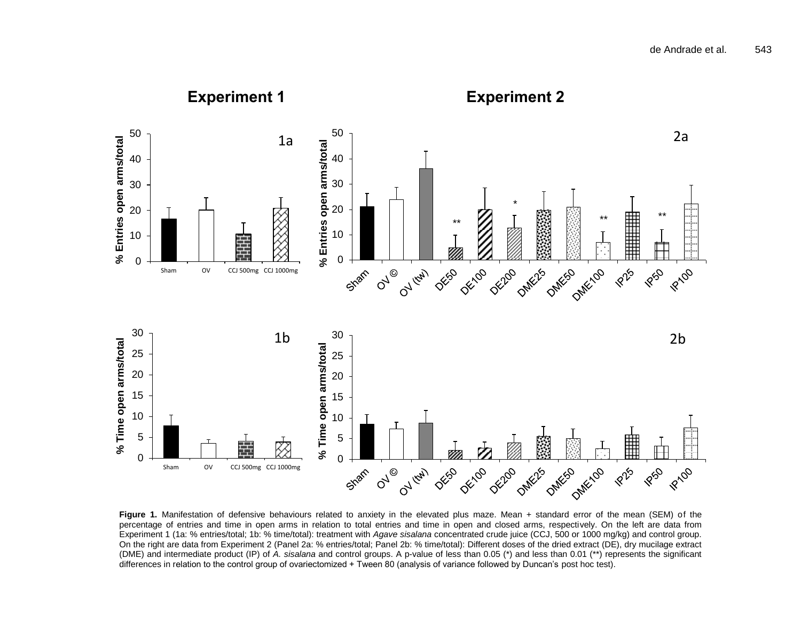

**Figure 1.** Manifestation of defensive behaviours related to anxiety in the elevated plus maze. Mean + standard error of the mean (SEM) of the percentage of entries and time in open arms in relation to total entries and time in open and closed arms, respectively. On the left are data from Experiment 1 (1a: % entries/total; 1b: % time/total): treatment with *Agave sisalana* concentrated crude juice (CCJ, 500 or 1000 mg/kg) and control group. On the right are data from Experiment 2 (Panel 2a: % entries/total; Panel 2b: % time/total): Different doses of the dried extract (DE), dry mucilage extract (DME) and intermediate product (IP) of *A. sisalana* and control groups. A p-value of less than 0.05 (\*) and less than 0.01 (\*\*) represents the significant differences in relation to the control group of ovariectomized + Tween 80 (analysis of variance followed by Duncan's post hoc test).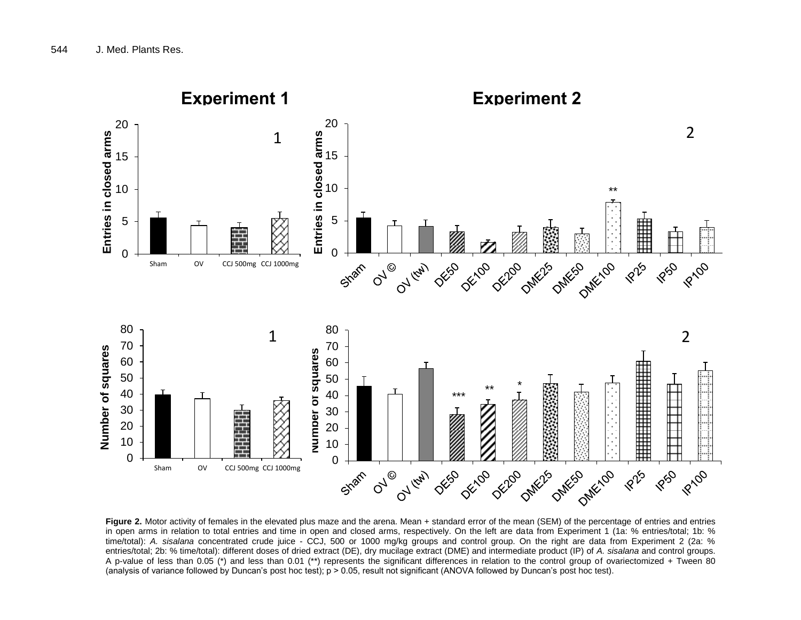

Figure 2. Motor activity of females in the elevated plus maze and the arena. Mean + standard error of the mean (SEM) of the percentage of entries and entries in open arms in relation to total entries and time in open and closed arms, respectively. On the left are data from Experiment 1 (1a: % entries/total; 1b: % time/total): *A. sisalana* concentrated crude juice - CCJ, 500 or 1000 mg/kg groups and control group. On the right are data from Experiment 2 (2a: % entries/total; 2b: % time/total): different doses of dried extract (DE), dry mucilage extract (DME) and intermediate product (IP) of *A. sisalana* and control groups. A p-value of less than 0.05 (\*) and less than 0.01 (\*\*) represents the significant differences in relation to the control group of ovariectomized + Tween 80 (analysis of variance followed by Duncan's post hoc test); p > 0.05, result not significant (ANOVA followed by Duncan's post hoc test).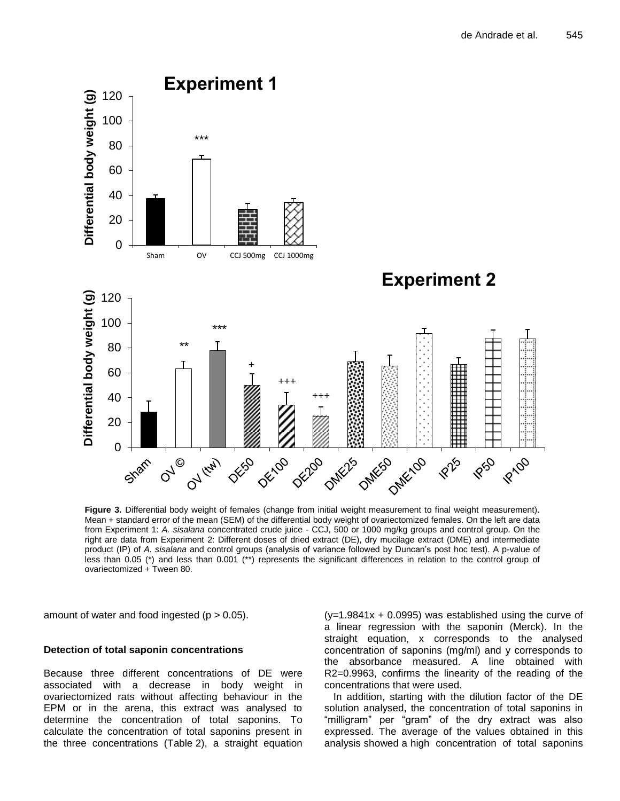

**Figure 3.** Differential body weight of females (change from initial weight measurement to final weight measurement). Mean + standard error of the mean (SEM) of the differential body weight of ovariectomized females. On the left are data from Experiment 1: *A. sisalana* concentrated crude juice - CCJ, 500 or 1000 mg/kg groups and control group. On the right are data from Experiment 2: Different doses of dried extract (DE), dry mucilage extract (DME) and intermediate product (IP) of *A. sisalana* and control groups (analysis of variance followed by Duncan's post hoc test). A p-value of less than 0.05 (\*) and less than 0.001 (\*\*) represents the significant differences in relation to the control group of ovariectomized + Tween 80.

amount of water and food ingested ( $p > 0.05$ ).

# **Detection of total saponin concentrations**

Because three different concentrations of DE were associated with a decrease in body weight in ovariectomized rats without affecting behaviour in the EPM or in the arena, this extract was analysed to determine the concentration of total saponins. To calculate the concentration of total saponins present in the three concentrations (Table 2), a straight equation  $(y=1.9841x + 0.0995)$  was established using the curve of a linear regression with the saponin (Merck). In the straight equation, x corresponds to the analysed concentration of saponins (mg/ml) and y corresponds to the absorbance measured. A line obtained with R2=0.9963, confirms the linearity of the reading of the concentrations that were used.

In addition, starting with the dilution factor of the DE solution analysed, the concentration of total saponins in "milligram" per "gram" of the dry extract was also expressed. The average of the values obtained in this analysis showed a high concentration of total saponins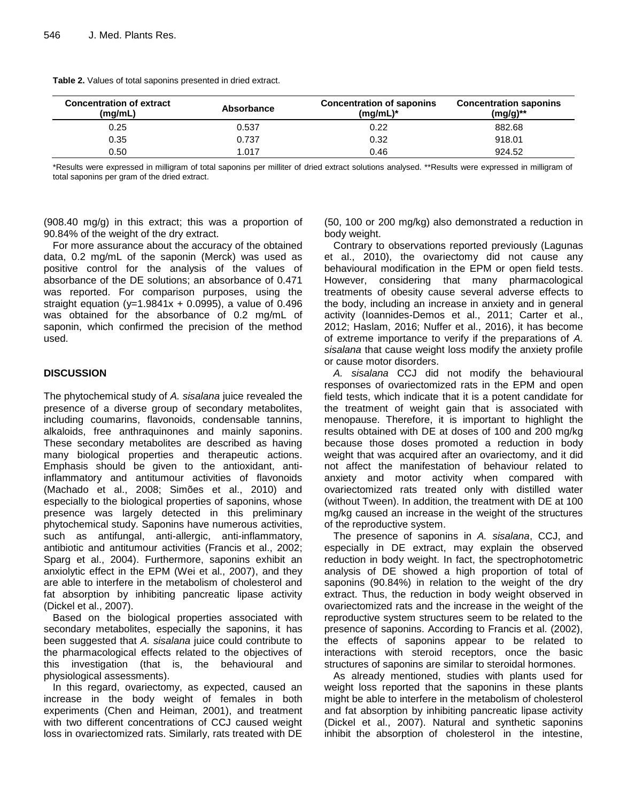| <b>Concentration of extract</b><br>(mq/mL) | <b>Absorbance</b> | <b>Concentration of saponins</b><br>$(mq/mL)^*$ | <b>Concentration saponins</b><br>$(mg/g)$ ** |
|--------------------------------------------|-------------------|-------------------------------------------------|----------------------------------------------|
| 0.25                                       | 0.537             | 0.22                                            | 882.68                                       |
| 0.35                                       | 0.737             | 0.32                                            | 918.01                                       |
| 0.50                                       | 1.017             | 0.46                                            | 924.52                                       |

**Table 2.** Values of total saponins presented in dried extract.

\*Results were expressed in milligram of total saponins per milliter of dried extract solutions analysed. \*\*Results were expressed in milligram of total saponins per gram of the dried extract.

(908.40 mg/g) in this extract; this was a proportion of 90.84% of the weight of the dry extract.

For more assurance about the accuracy of the obtained data, 0.2 mg/mL of the saponin (Merck) was used as positive control for the analysis of the values of absorbance of the DE solutions; an absorbance of 0.471 was reported. For comparison purposes, using the straight equation ( $y=1.9841x + 0.0995$ ), a value of 0.496 was obtained for the absorbance of 0.2 mg/mL of saponin, which confirmed the precision of the method used.

# **DISCUSSION**

The phytochemical study of *A. sisalana* juice revealed the presence of a diverse group of secondary metabolites, including coumarins, flavonoids, condensable tannins, alkaloids, free anthraquinones and mainly saponins. These secondary metabolites are described as having many biological properties and therapeutic actions. Emphasis should be given to the antioxidant, antiinflammatory and antitumour activities of flavonoids (Machado et al., 2008; Simões et al., 2010) and especially to the biological properties of saponins, whose presence was largely detected in this preliminary phytochemical study. Saponins have numerous activities, such as antifungal, anti-allergic, anti-inflammatory, antibiotic and antitumour activities (Francis et al., 2002; Sparg et al., 2004). Furthermore, saponins exhibit an anxiolytic effect in the EPM (Wei et al., 2007), and they are able to interfere in the metabolism of cholesterol and fat absorption by inhibiting pancreatic lipase activity (Dickel et al., 2007).

Based on the biological properties associated with secondary metabolites, especially the saponins, it has been suggested that *A. sisalana* juice could contribute to the pharmacological effects related to the objectives of this investigation (that is, the behavioural and physiological assessments).

In this regard, ovariectomy, as expected, caused an increase in the body weight of females in both experiments (Chen and Heiman, 2001), and treatment with two different concentrations of CCJ caused weight loss in ovariectomized rats. Similarly, rats treated with DE (50, 100 or 200 mg/kg) also demonstrated a reduction in body weight.

Contrary to observations reported previously (Lagunas et al., 2010), the ovariectomy did not cause any behavioural modification in the EPM or open field tests. However, considering that many pharmacological treatments of obesity cause several adverse effects to the body, including an increase in anxiety and in general activity (Ioannides-Demos et al., 2011; Carter et al., 2012; Haslam, 2016; Nuffer et al., 2016), it has become of extreme importance to verify if the preparations of *A. sisalana* that cause weight loss modify the anxiety profile or cause motor disorders.

*A. sisalana* CCJ did not modify the behavioural responses of ovariectomized rats in the EPM and open field tests, which indicate that it is a potent candidate for the treatment of weight gain that is associated with menopause. Therefore, it is important to highlight the results obtained with DE at doses of 100 and 200 mg/kg because those doses promoted a reduction in body weight that was acquired after an ovariectomy, and it did not affect the manifestation of behaviour related to anxiety and motor activity when compared with ovariectomized rats treated only with distilled water (without Tween). In addition, the treatment with DE at 100 mg/kg caused an increase in the weight of the structures of the reproductive system.

The presence of saponins in *A. sisalana*, CCJ, and especially in DE extract, may explain the observed reduction in body weight. In fact, the spectrophotometric analysis of DE showed a high proportion of total of saponins (90.84%) in relation to the weight of the dry extract. Thus, the reduction in body weight observed in ovariectomized rats and the increase in the weight of the reproductive system structures seem to be related to the presence of saponins. According to Francis et al. (2002), the effects of saponins appear to be related to interactions with steroid receptors, once the basic structures of saponins are similar to steroidal hormones.

As already mentioned, studies with plants used for weight loss reported that the saponins in these plants might be able to interfere in the metabolism of cholesterol and fat absorption by inhibiting pancreatic lipase activity (Dickel et al., 2007). Natural and synthetic saponins inhibit the absorption of cholesterol in the intestine,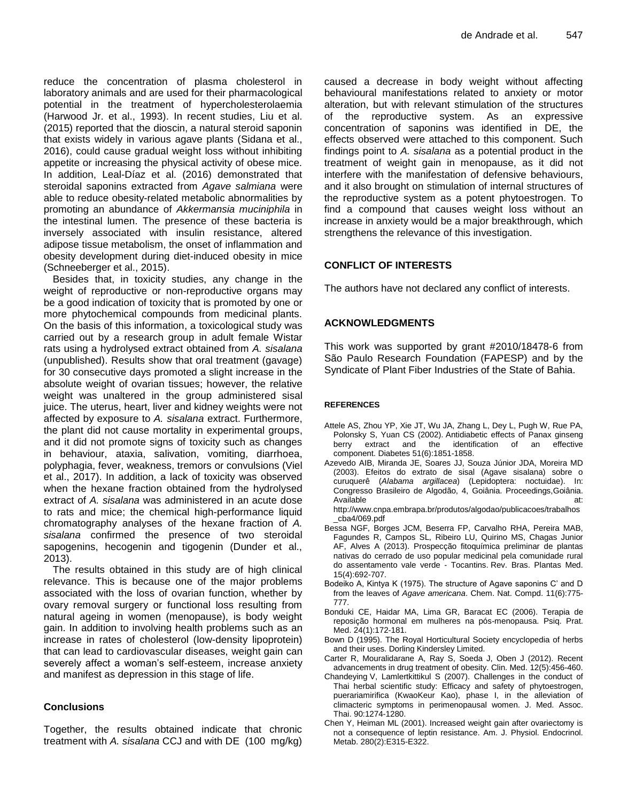reduce the concentration of plasma cholesterol in laboratory animals and are used for their pharmacological potential in the treatment of hypercholesterolaemia (Harwood Jr. et al., 1993). In recent studies, Liu et al. (2015) reported that the dioscin, a natural steroid saponin that exists widely in various agave plants (Sidana et al., 2016), could cause gradual weight loss without inhibiting appetite or increasing the physical activity of obese mice. In addition, Leal-Díaz et al. (2016) demonstrated that steroidal saponins extracted from *Agave salmiana* were able to reduce obesity-related metabolic abnormalities by promoting an abundance of *Akkermansia muciniphila* in the intestinal lumen. The presence of these bacteria is inversely associated with insulin resistance, altered adipose tissue metabolism, the onset of inflammation and obesity development during diet-induced obesity in mice (Schneeberger et al., 2015).

Besides that, in toxicity studies, any change in the weight of reproductive or non-reproductive organs may be a good indication of toxicity that is promoted by one or more phytochemical compounds from medicinal plants. On the basis of this information, a toxicological study was carried out by a research group in adult female Wistar rats using a hydrolysed extract obtained from *A. sisalana* (unpublished). Results show that oral treatment (gavage) for 30 consecutive days promoted a slight increase in the absolute weight of ovarian tissues; however, the relative weight was unaltered in the group administered sisal juice. The uterus, heart, liver and kidney weights were not affected by exposure to *A. sisalana* extract. Furthermore, the plant did not cause mortality in experimental groups, and it did not promote signs of toxicity such as changes in behaviour, ataxia, salivation, vomiting, diarrhoea, polyphagia, fever, weakness, tremors or convulsions (Viel et al., 2017). In addition, a lack of toxicity was observed when the hexane fraction obtained from the hydrolysed extract of *A. sisalana* was administered in an acute dose to rats and mice; the chemical high-performance liquid chromatography analyses of the hexane fraction of *A. sisalana* confirmed the presence of two steroidal sapogenins, hecogenin and tigogenin (Dunder et al., 2013).

The results obtained in this study are of high clinical relevance. This is because one of the major problems associated with the loss of ovarian function, whether by ovary removal surgery or functional loss resulting from natural ageing in women (menopause), is body weight gain. In addition to involving health problems such as an increase in rates of cholesterol (low-density lipoprotein) that can lead to cardiovascular diseases, weight gain can severely affect a woman's self-esteem, increase anxiety and manifest as depression in this stage of life.

# **Conclusions**

Together, the results obtained indicate that chronic treatment with *A. sisalana* CCJ and with DE (100 mg/kg) caused a decrease in body weight without affecting behavioural manifestations related to anxiety or motor alteration, but with relevant stimulation of the structures of the reproductive system. As an expressive concentration of saponins was identified in DE, the effects observed were attached to this component. Such findings point to *A. sisalana* as a potential product in the treatment of weight gain in menopause, as it did not interfere with the manifestation of defensive behaviours, and it also brought on stimulation of internal structures of the reproductive system as a potent phytoestrogen. To find a compound that causes weight loss without an increase in anxiety would be a major breakthrough, which strengthens the relevance of this investigation.

# **CONFLICT OF INTERESTS**

The authors have not declared any conflict of interests.

# **ACKNOWLEDGMENTS**

This work was supported by grant [#2010/18478-6](javascript:mediumPopup() from São Paulo Research Foundation (FAPESP) and by the Syndicate of Plant Fiber Industries of the State of Bahia.

# **REFERENCES**

- Attele AS, Zhou YP, Xie JT, Wu JA, Zhang L, Dey L, Pugh W, Rue PA, Polonsky S, Yuan CS (2002). Antidiabetic effects of Panax ginseng berry extract and the identification of an effective component. Diabetes 51(6):1851-1858.
- Azevedo AIB, Miranda JE, Soares JJ, Souza Júnior JDA, Moreira MD (2003). Efeitos do extrato de sisal (Agave sisalana) sobre o curuquerê (*Alabama argillacea*) (Lepidoptera: noctuidae). In: Congresso Brasileiro de Algodão, 4, Goiânia. Proceedings,Goiânia. Available at:

http://www.cnpa.embrapa.br/produtos/algodao/publicacoes/trabalhos \_cba4/069.pdf

- Bessa NGF, Borges JCM, Beserra FP, Carvalho RHA, Pereira MAB, Fagundes R, Campos SL, Ribeiro LU, Quirino MS, Chagas Junior AF, Alves A (2013). Prospecção fitoquímica preliminar de plantas nativas do cerrado de uso popular medicinal pela comunidade rural do assentamento vale verde - Tocantins. Rev. Bras. Plantas Med. 15(4):692-707.
- Bodeiko A, Kintya K (1975). The structure of Agave saponins C' and D from the leaves of *Agave americana*. [Chem. Nat. Compd.](https://link.springer.com/journal/10600) 11(6):775- 777.
- Bonduki CE, Haidar MA, Lima GR, Baracat EC (2006). Terapia de reposição hormonal em mulheres na pós-menopausa. Psiq. Prat. Med. 24(1):172-181.
- Bown D (1995). The Royal Horticultural Society encyclopedia of herbs and their uses. Dorling Kindersley Limited.
- Carter R, Mouralidarane A, Ray S, Soeda J, Oben J (2012). Recent advancements in drug treatment of obesity. Clin. Med. 12(5):456-460.
- Chandeying V, Lamlertkittikul S (2007). Challenges in the conduct of Thai herbal scientific study: Efficacy and safety of phytoestrogen, puerariamirifica (KwaoKeur Kao), phase I, in the alleviation of climacteric symptoms in perimenopausal women. J. Med. Assoc. Thai. 90:1274-1280.
- Chen Y, Heiman ML (2001). Increased weight gain after ovariectomy is not a consequence of leptin resistance. Am. J. Physiol. Endocrinol. Metab. 280(2):E315-E322.